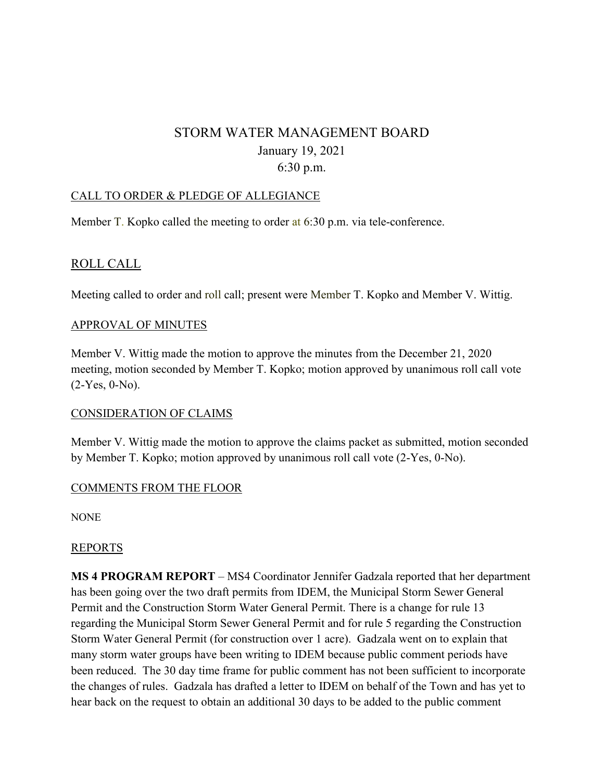# STORM WATER MANAGEMENT BOARD January 19, 2021 6:30 p.m.

#### CALL TO ORDER & PLEDGE OF ALLEGIANCE

Member T. Kopko called the meeting to order at 6:30 p.m. via tele-conference.

# ROLL CALL

Meeting called to order and roll call; present were Member T. Kopko and Member V. Wittig.

#### APPROVAL OF MINUTES

Member V. Wittig made the motion to approve the minutes from the December 21, 2020 meeting, motion seconded by Member T. Kopko; motion approved by unanimous roll call vote (2-Yes, 0-No).

#### CONSIDERATION OF CLAIMS

Member V. Wittig made the motion to approve the claims packet as submitted, motion seconded by Member T. Kopko; motion approved by unanimous roll call vote (2-Yes, 0-No).

#### COMMENTS FROM THE FLOOR

NONE

## REPORTS

**MS 4 PROGRAM REPORT** – MS4 Coordinator Jennifer Gadzala reported that her department has been going over the two draft permits from IDEM, the Municipal Storm Sewer General Permit and the Construction Storm Water General Permit. There is a change for rule 13 regarding the Municipal Storm Sewer General Permit and for rule 5 regarding the Construction Storm Water General Permit (for construction over 1 acre). Gadzala went on to explain that many storm water groups have been writing to IDEM because public comment periods have been reduced. The 30 day time frame for public comment has not been sufficient to incorporate the changes of rules. Gadzala has drafted a letter to IDEM on behalf of the Town and has yet to hear back on the request to obtain an additional 30 days to be added to the public comment